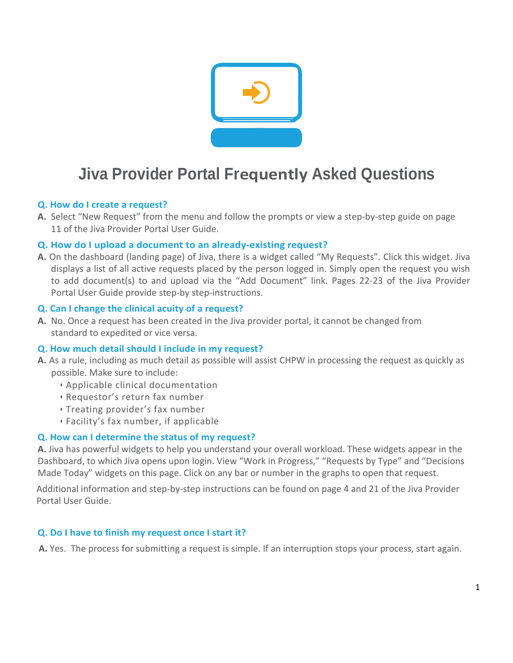

# **Jiva Provider Portal Frequently Asked Questions**

## **Q. How do I create a request?**

**A.** Select "New Request" from the menu and follow the prompts or view a step-by-step guide on page 11 of the Jiva Provider Portal User Guide.

## **Q. How do I upload a document to an already-existing request?**

**A.** On the dashboard (landing page) of Jiva, there is a widget called "My Requests". Click this widget. Jiva displays a list of all active requests placed by the person logged in. Simply open the request you wish to add document(s) to and upload via the "Add Document" link. Pages 22-23 of the Jiva Provider Portal User Guide provide step-by step-instructions.

## **Q. Can I change the clinical acuity of a request?**

**A.** No. Once a request has been created in the Jiva provider portal, it cannot be changed from standard to expedited or vice versa.

# **Q. How much detail should I include in my request?**

- **A.** As a rule, including as much detail as possible will assist CHPW in processing the request as quickly as possible. Make sure to include:
	- Applicable clinical documentation
	- Requestor's return fax number
	- Treating provider's fax number
	- Facility's fax number, if applicable

# **Q. How can I determine the status of my request?**

**A.** Jiva has powerful widgets to help you understand your overall workload. These widgets appear in the Dashboard, to which Jiva opens upon login. View "Work in Progress," "Requests by Type" and "Decisions Made Today" widgets on this page. Click on any bar or number in the graphs to open that request.

Additional information and step-by-step instructions can be found on page 4 and 21 of the Jiva Provider Portal User Guide.

### **Q. Do I have to finish my request once I start it?**

**A.** Yes. The process for submitting a request is simple. If an interruption stops your process, start again.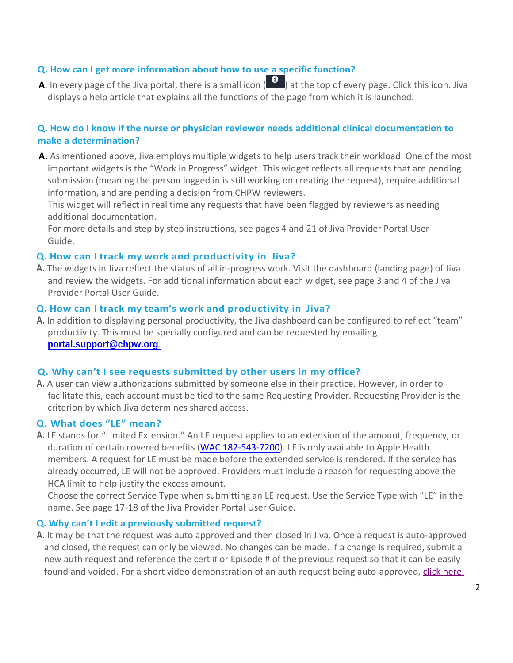# **Q. How can I get more information about how to use a specific function?**

**A**. In every page of the Jiva portal, there is a small icon (**1)** at the top of every page. Click this icon. Jiva displays a help article that explains all the functions of the page from which it is launched.

## **Q. How do I know if the nurse or physician reviewer needs additional clinical documentation to make a determination?**

**A.** As mentioned above, Jiva employs multiple widgets to help users track their workload. One of the most important widgets is the "Work in Progress" widget. This widget reflects all requests that are pending submission (meaning the person logged in is still working on creating the request), require additional information, and are pending a decision from CHPW reviewers.

This widget will reflect in real time any requests that have been flagged by reviewers as needing additional documentation.

For more details and step by step instructions, see pages 4 and 21 of Jiva Provider Portal User Guide.

### **Q. How can I track my work and productivity in Jiva?**

**A.** The widgets in Jiva reflect the status of all in-progress work. Visit the dashboard (landing page) of Jiva and review the widgets. For additional information about each widget, see page 3 and 4 of the Jiva Provider Portal User Guide.

#### **Q. How can I track my team's work and productivity in Jiva?**

**A.** In addition to displaying personal productivity, the Jiva dashboard can be configured to reflect "team" productivity. This must be specially configured and can be requested by emailing **[portal.support@chpw.org](mailto:portal.support@chpw.org.)**.

#### **Q. Why can't I see requests submitted by other users in my office?**

**A.** A user can view authorizations submitted by someone else in their practice. However, in order to facilitate this, each account must be tied to the same Requesting Provider. Requesting Provider is the criterion by which Jiva determines shared access.

## **Q. What does "LE" mean?**

**A.** LE stands for "Limited Extension." An LE request applies to an extension of the amount, frequency, or duration of certain covered benefits [\(WAC 182-543-7200\)](https://apps.leg.wa.gov/WAC/default.aspx?cite=182-543-7200). LE is only available to Apple Health members. A request for LE must be made before the extended service is rendered. If the service has already occurred, LE will not be approved. Providers must include a reason for requesting above the HCA limit to help justify the excess amount.

Choose the correct Service Type when submitting an LE request. Use the Service Type with "LE" in the name. See page 17-18 of the Jiva Provider Portal User Guide.

#### **Q. Why can't I edit a previously submitted request?**

**A.** It may be that the request was auto approved and then closed in Jiva. Once a request is auto-approved and closed, the request can only be viewed. No changes can be made. If a change is required, submit a new auth request and reference the cert # or Episode # of the previous request so that it can be easily found and voided. For a short video demonstration of an auth request being auto-approved, [click here.](https://www.youtube.com/watch?v=5YozqMaylFo&feature=youtu.be)